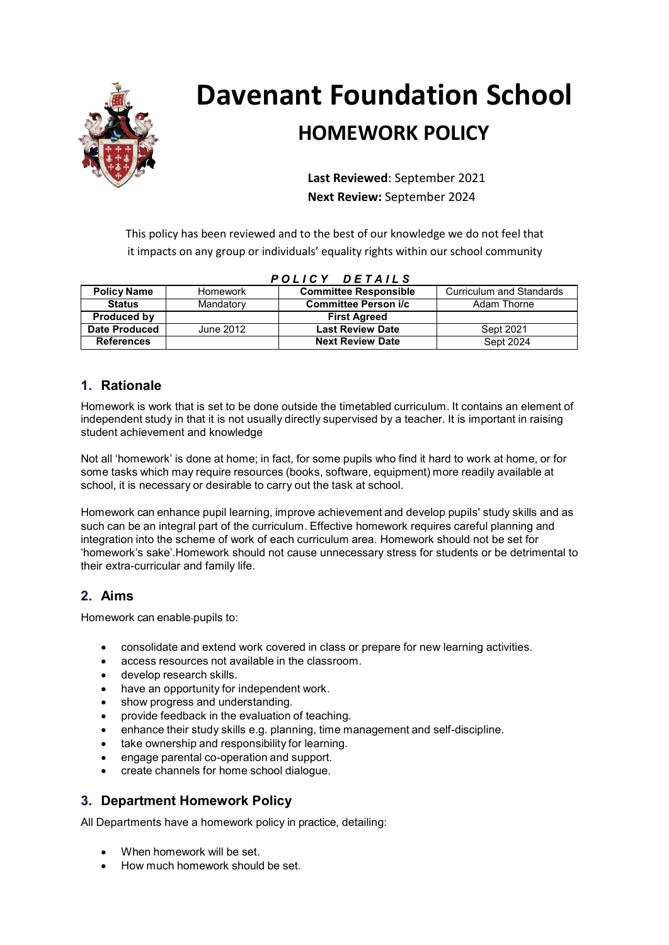

# **Davenant Foundation School HOMEWORK POLICY**

 **Last Reviewed**: September 2021  **Next Review:** September 2024

This policy has been reviewed and to the best of our knowledge we do not feel that it impacts on any group or individuals' equality rights within our school community

| POLICY DETAILS       |           |                              |                          |
|----------------------|-----------|------------------------------|--------------------------|
| <b>Policy Name</b>   | Homework  | <b>Committee Responsible</b> | Curriculum and Standards |
| <b>Status</b>        | Mandatory | <b>Committee Person i/c</b>  | Adam Thorne              |
| Produced by          |           | <b>First Agreed</b>          |                          |
| <b>Date Produced</b> | June 2012 | <b>Last Review Date</b>      | Sept 2021                |
| <b>References</b>    |           | <b>Next Review Date</b>      | Sept 2024                |

*P O L I C Y D E T A I L S*

# **1. Rationale**

Homework is work that is set to be done outside the timetabled curriculum. It contains an element of independent study in that it is not usually directly supervised by a teacher. It is important in raising student achievement and knowledge

Not all 'homework' is done at home; in fact, for some pupils who find it hard to work at home, or for some tasks which may require resources (books, software, equipment) more readily available at school, it is necessary or desirable to carry out the task at school.

Homework can enhance pupil learning, improve achievement and develop pupils' study skills and as such can be an integral part of the curriculum. Effective homework requires careful planning and integration into the scheme of work of each curriculum area. Homework should not be set for 'homework's sake'.Homework should not cause unnecessary stress for students or be detrimental to their extra-curricular and family life.

# **2. Aims**

Homework can enable pupils to:

- consolidate and extend work covered in class or prepare for new learning activities.
- access resources not available in the classroom.
- develop research skills.
- have an opportunity for independent work.
- show progress and understanding.
- provide feedback in the evaluation of teaching.
- enhance their study skills e.g. planning, time management and self-discipline.
- take ownership and responsibility for learning.
- engage parental co-operation and support.
- create channels for home school dialogue.

# **3. Department Homework Policy**

All Departments have a homework policy in practice, detailing:

- When homework will be set.
- How much homework should be set.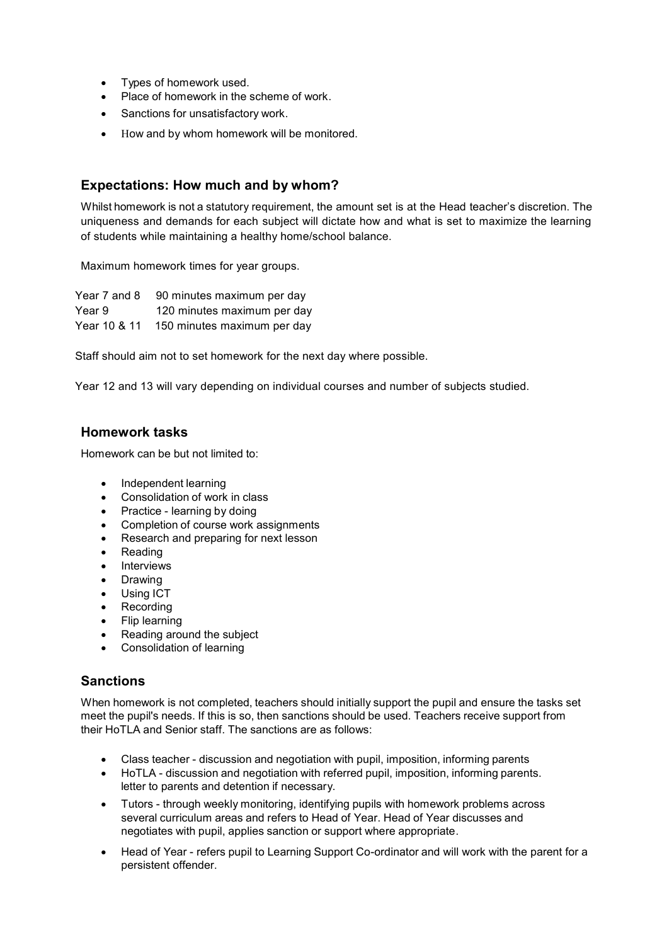- Types of homework used.
- Place of homework in the scheme of work.
- Sanctions for unsatisfactory work.
- How and by whom homework will be monitored.

# **Expectations: How much and by whom?**

Whilst homework is not a statutory requirement, the amount set is at the Head teacher's discretion. The uniqueness and demands for each subject will dictate how and what is set to maximize the learning of students while maintaining a healthy home/school balance.

Maximum homework times for year groups.

Year 7 and 8 90 minutes maximum per day Year 9 120 minutes maximum per day Year 10 & 11 150 minutes maximum per day

Staff should aim not to set homework for the next day where possible.

Year 12 and 13 will vary depending on individual courses and number of subjects studied.

# **Homework tasks**

Homework can be but not limited to:

- Independent learning
- Consolidation of work in class
- Practice learning by doing
- Completion of course work assignments
- Research and preparing for next lesson
- Reading
- Interviews
- Drawing
- Using ICT
- Recording
- Flip learning
- Reading around the subject
- Consolidation of learning

#### **Sanctions**

When homework is not completed, teachers should initially support the pupil and ensure the tasks set meet the pupil's needs. If this is so, then sanctions should be used. Teachers receive support from their HoTLA and Senior staff. The sanctions are as follows:

- Class teacher discussion and negotiation with pupil, imposition, informing parents
- HoTLA discussion and negotiation with referred pupil, imposition, informing parents. letter to parents and detention if necessary.
- Tutors through weekly monitoring, identifying pupils with homework problems across several curriculum areas and refers to Head of Year. Head of Year discusses and negotiates with pupil, applies sanction or support where appropriate.
- Head of Year refers pupil to Learning Support Co-ordinator and will work with the parent for a persistent offender.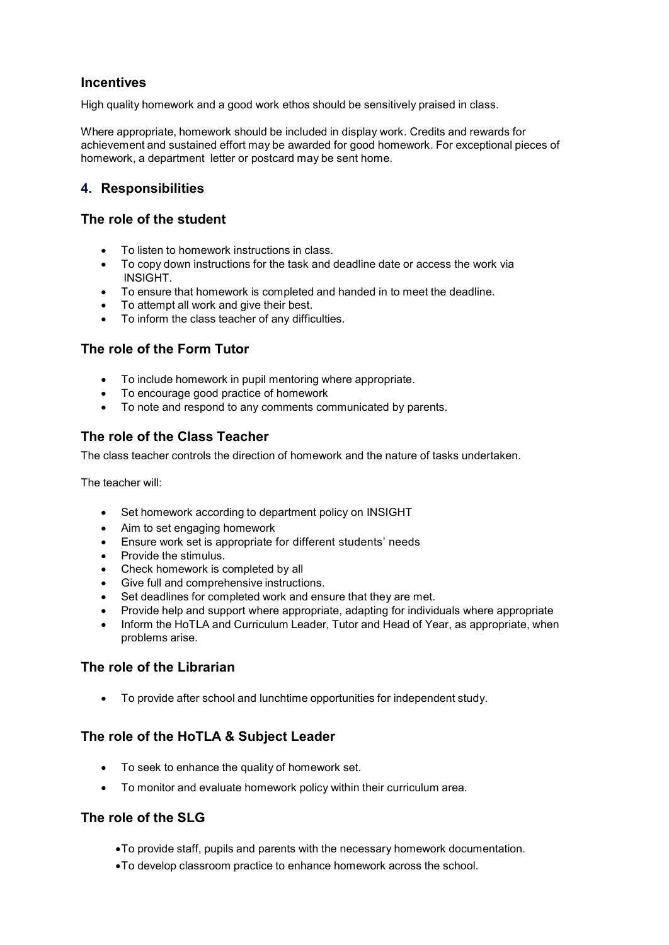# **Incentives**

High quality homework and a good work ethos should be sensitively praised in class.

Where appropriate, homework should be included in display work. Credits and rewards for achievement and sustained effort may be awarded for good homework. For exceptional pieces of homework, a department letter or postcard may be sent home.

# **4. Responsibilities**

#### **The role of the student**

- To listen to homework instructions in class.
- To copy down instructions for the task and deadline date or access the work via INSIGHT.
- To ensure that homework is completed and handed in to meet the deadline.
- To attempt all work and give their best.
- To inform the class teacher of any difficulties.

# **The role of the Form Tutor**

- To include homework in pupil mentoring where appropriate.
- To encourage good practice of homework
- To note and respond to any comments communicated by parents.

#### **The role of the Class Teacher**

The class teacher controls the direction of homework and the nature of tasks undertaken.

The teacher will:

- Set homework according to department policy on INSIGHT
- Aim to set engaging homework
- Ensure work set is appropriate for different students' needs
- Provide the stimulus.
- Check homework is completed by all
- Give full and comprehensive instructions.
- Set deadlines for completed work and ensure that they are met.
- Provide help and support where appropriate, adapting for individuals where appropriate
- Inform the HoTLA and Curriculum Leader, Tutor and Head of Year, as appropriate, when problems arise.

# **The role of the Librarian**

To provide after school and lunchtime opportunities for independent study.

# **The role of the HoTLA & Subject Leader**

- To seek to enhance the quality of homework set.
- To monitor and evaluate homework policy within their curriculum area.

# **The role of the SLG**

- To provide staff, pupils and parents with the necessary homework documentation.
- To develop classroom practice to enhance homework across the school.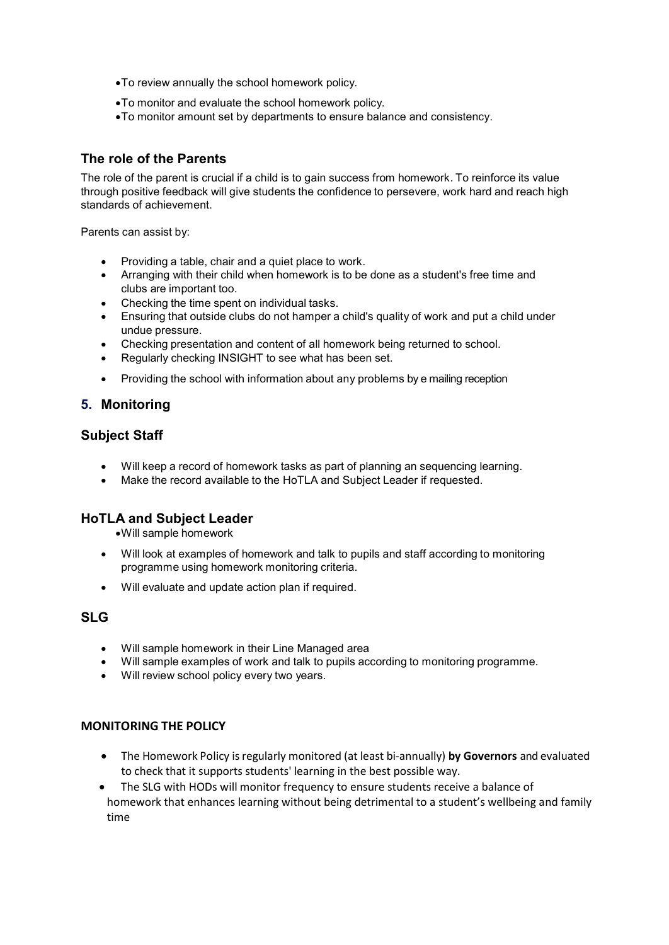- To review annually the school homework policy.
- To monitor and evaluate the school homework policy.
- To monitor amount set by departments to ensure balance and consistency.

#### **The role of the Parents**

The role of the parent is crucial if a child is to gain success from homework. To reinforce its value through positive feedback will give students the confidence to persevere, work hard and reach high standards of achievement.

Parents can assist by:

- Providing a table, chair and a quiet place to work.
- Arranging with their child when homework is to be done as a student's free time and clubs are important too.
- Checking the time spent on individual tasks.
- Ensuring that outside clubs do not hamper a child's quality of work and put a child under undue pressure.
- Checking presentation and content of all homework being returned to school.
- Regularly checking INSIGHT to see what has been set.
- Providing the school with information about any problems by e mailing reception

#### **5. Monitoring**

#### **Subject Staff**

- Will keep a record of homework tasks as part of planning an sequencing learning.
- Make the record available to the HoTLA and Subject Leader if requested.

#### **HoTLA and Subject Leader**

Will sample homework

- Will look at examples of homework and talk to pupils and staff according to monitoring programme using homework monitoring criteria.
- Will evaluate and update action plan if required.

#### **SLG**

- Will sample homework in their Line Managed area
- Will sample examples of work and talk to pupils according to monitoring programme.
- Will review school policy every two years.

#### **MONITORING THE POLICY**

- The Homework Policy is regularly monitored (at least bi-annually) **by Governors** and evaluated to check that it supports students' learning in the best possible way.
- The SLG with HODs will monitor frequency to ensure students receive a balance of homework that enhances learning without being detrimental to a student's wellbeing and family time